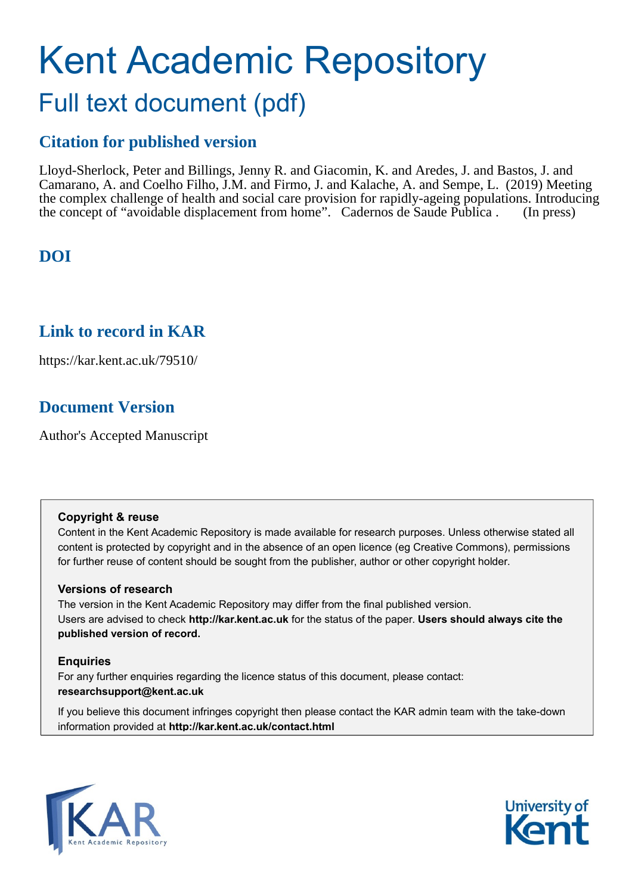# Kent Academic Repository Full text document (pdf)

# **Citation for published version**

Lloyd-Sherlock, Peter and Billings, Jenny R. and Giacomin, K. and Aredes, J. and Bastos, J. and Camarano, A. and Coelho Filho, J.M. and Firmo, J. and Kalache, A. and Sempe, L. (2019) Meeting the complex challenge of health and social care provision for rapidly-ageing populations. Introducing the concept of "avoidable displacement from home". Cadernos de Saude Publica . (In press)

# **DOI**

# **Link to record in KAR**

https://kar.kent.ac.uk/79510/

# **Document Version**

Author's Accepted Manuscript

## **Copyright & reuse**

Content in the Kent Academic Repository is made available for research purposes. Unless otherwise stated all content is protected by copyright and in the absence of an open licence (eg Creative Commons), permissions for further reuse of content should be sought from the publisher, author or other copyright holder.

## **Versions of research**

The version in the Kent Academic Repository may differ from the final published version. Users are advised to check **http://kar.kent.ac.uk** for the status of the paper. **Users should always cite the published version of record.**

# **Enquiries**

For any further enquiries regarding the licence status of this document, please contact: **researchsupport@kent.ac.uk**

If you believe this document infringes copyright then please contact the KAR admin team with the take-down information provided at **http://kar.kent.ac.uk/contact.html**



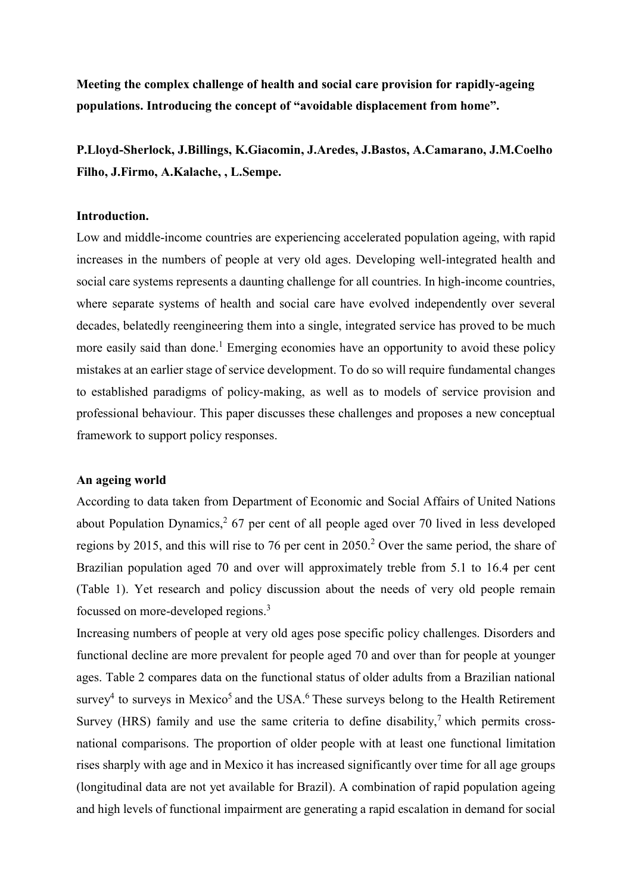Meeting the complex challenge of health and social care provision for rapidly-ageing populations. Introducing the concept of "avoidable displacement from home".

P.Lloyd-Sherlock, J.Billings, K.Giacomin, J.Aredes, J.Bastos, A.Camarano, J.M.Coelho Filho, J.Firmo, A.Kalache, , L.Sempe.

### Introduction.

Low and middle-income countries are experiencing accelerated population ageing, with rapid increases in the numbers of people at very old ages. Developing well-integrated health and social care systems represents a daunting challenge for all countries. In high-income countries, where separate systems of health and social care have evolved independently over several decades, belatedly reengineering them into a single, integrated service has proved to be much more easily said than done.<sup>1</sup> Emerging economies have an opportunity to avoid these policy mistakes at an earlier stage of service development. To do so will require fundamental changes to established paradigms of policy-making, as well as to models of service provision and professional behaviour. This paper discusses these challenges and proposes a new conceptual framework to support policy responses.

#### An ageing world

According to data taken from Department of Economic and Social Affairs of United Nations about Population Dynamics,  $267$  per cent of all people aged over 70 lived in less developed regions by 2015, and this will rise to 76 per cent in 2050.<sup>2</sup> Over the same period, the share of Brazilian population aged 70 and over will approximately treble from 5.1 to 16.4 per cent (Table 1). Yet research and policy discussion about the needs of very old people remain focussed on more-developed regions.<sup>3</sup>

Increasing numbers of people at very old ages pose specific policy challenges. Disorders and functional decline are more prevalent for people aged 70 and over than for people at younger ages. Table 2 compares data on the functional status of older adults from a Brazilian national survey<sup>4</sup> to surveys in Mexico<sup>5</sup> and the USA.<sup>6</sup> These surveys belong to the Health Retirement Survey (HRS) family and use the same criteria to define disability,<sup>7</sup> which permits crossnational comparisons. The proportion of older people with at least one functional limitation rises sharply with age and in Mexico it has increased significantly over time for all age groups (longitudinal data are not yet available for Brazil). A combination of rapid population ageing and high levels of functional impairment are generating a rapid escalation in demand for social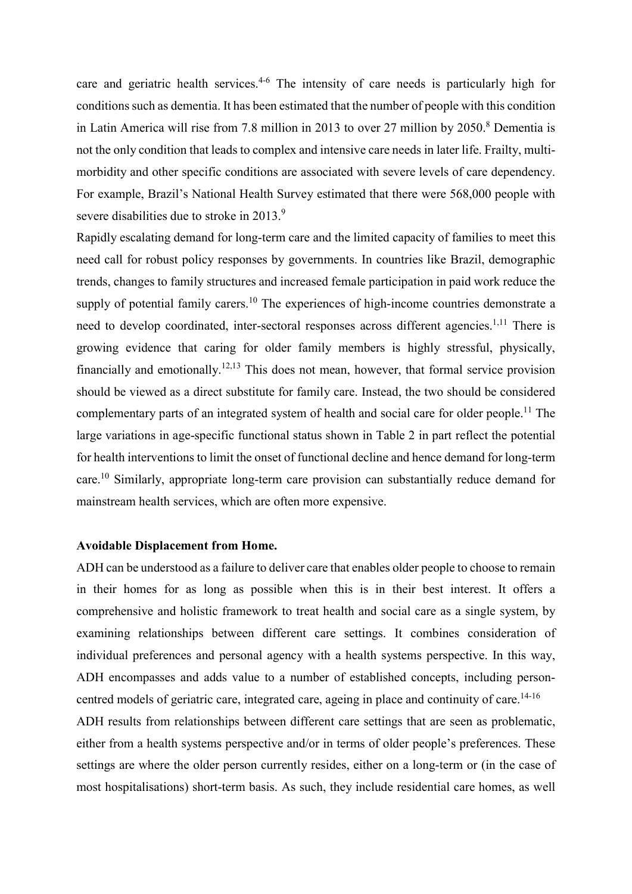care and geriatric health services.<sup>4-6</sup> The intensity of care needs is particularly high for conditions such as dementia. It has been estimated that the number of people with this condition in Latin America will rise from 7.8 million in 2013 to over 27 million by 2050.<sup>8</sup> Dementia is not the only condition that leads to complex and intensive care needs in later life. Frailty, multimorbidity and other specific conditions are associated with severe levels of care dependency. For example, Brazil's National Health Survey estimated that there were 568,000 people with severe disabilities due to stroke in 2013.<sup>9</sup>

Rapidly escalating demand for long-term care and the limited capacity of families to meet this need call for robust policy responses by governments. In countries like Brazil, demographic trends, changes to family structures and increased female participation in paid work reduce the supply of potential family carers.<sup>10</sup> The experiences of high-income countries demonstrate a need to develop coordinated, inter-sectoral responses across different agencies.<sup>1,11</sup> There is growing evidence that caring for older family members is highly stressful, physically, financially and emotionally.12,13 This does not mean, however, that formal service provision should be viewed as a direct substitute for family care. Instead, the two should be considered complementary parts of an integrated system of health and social care for older people.<sup>11</sup> The large variations in age-specific functional status shown in Table 2 in part reflect the potential for health interventions to limit the onset of functional decline and hence demand for long-term care.<sup>10</sup> Similarly, appropriate long-term care provision can substantially reduce demand for mainstream health services, which are often more expensive.

#### Avoidable Displacement from Home.

ADH can be understood as a failure to deliver care that enables older people to choose to remain in their homes for as long as possible when this is in their best interest. It offers a comprehensive and holistic framework to treat health and social care as a single system, by examining relationships between different care settings. It combines consideration of individual preferences and personal agency with a health systems perspective. In this way, ADH encompasses and adds value to a number of established concepts, including personcentred models of geriatric care, integrated care, ageing in place and continuity of care.<sup>14-16</sup>

ADH results from relationships between different care settings that are seen as problematic, either from a health systems perspective and/or in terms of older people's preferences. These settings are where the older person currently resides, either on a long-term or (in the case of most hospitalisations) short-term basis. As such, they include residential care homes, as well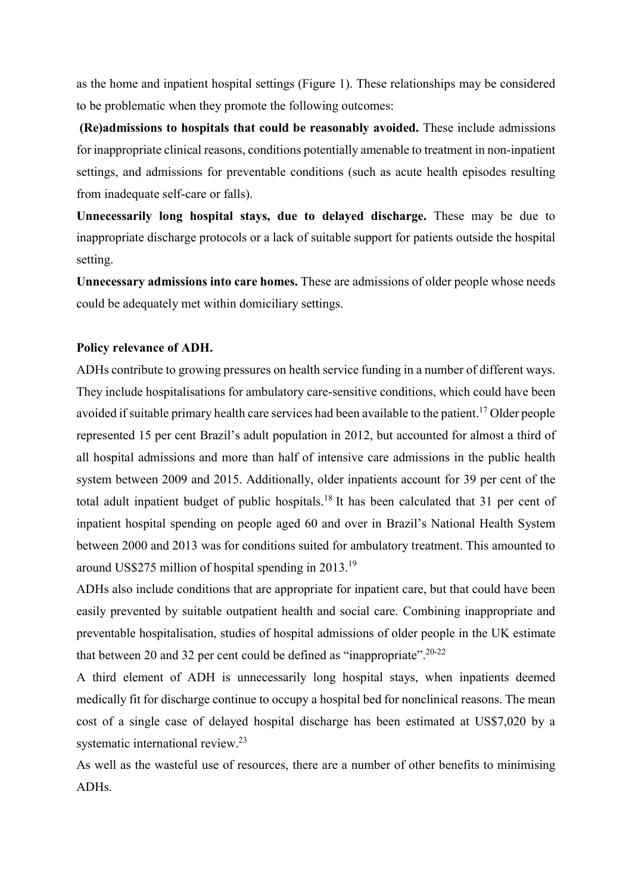as the home and inpatient hospital settings (Figure 1). These relationships may be considered to be problematic when they promote the following outcomes:

 (Re)admissions to hospitals that could be reasonably avoided. These include admissions for inappropriate clinical reasons, conditions potentially amenable to treatment in non-inpatient settings, and admissions for preventable conditions (such as acute health episodes resulting from inadequate self-care or falls).

Unnecessarily long hospital stays, due to delayed discharge. These may be due to inappropriate discharge protocols or a lack of suitable support for patients outside the hospital setting.

Unnecessary admissions into care homes. These are admissions of older people whose needs could be adequately met within domiciliary settings.

# Policy relevance of ADH.

ADHs contribute to growing pressures on health service funding in a number of different ways. They include hospitalisations for ambulatory care-sensitive conditions, which could have been avoided if suitable primary health care services had been available to the patient.<sup>17</sup> Older people represented 15 per cent Brazil's adult population in 2012, but accounted for almost a third of all hospital admissions and more than half of intensive care admissions in the public health system between 2009 and 2015. Additionally, older inpatients account for 39 per cent of the total adult inpatient budget of public hospitals.<sup>18</sup> It has been calculated that 31 per cent of inpatient hospital spending on people aged 60 and over in Brazil's National Health System between 2000 and 2013 was for conditions suited for ambulatory treatment. This amounted to around US\$275 million of hospital spending in 2013.<sup>19</sup>

ADHs also include conditions that are appropriate for inpatient care, but that could have been easily prevented by suitable outpatient health and social care. Combining inappropriate and preventable hospitalisation, studies of hospital admissions of older people in the UK estimate that between 20 and 32 per cent could be defined as "inappropriate".<sup>20-22</sup>

A third element of ADH is unnecessarily long hospital stays, when inpatients deemed medically fit for discharge continue to occupy a hospital bed for nonclinical reasons. The mean cost of a single case of delayed hospital discharge has been estimated at US\$7,020 by a systematic international review.<sup>23</sup>

As well as the wasteful use of resources, there are a number of other benefits to minimising ADHs.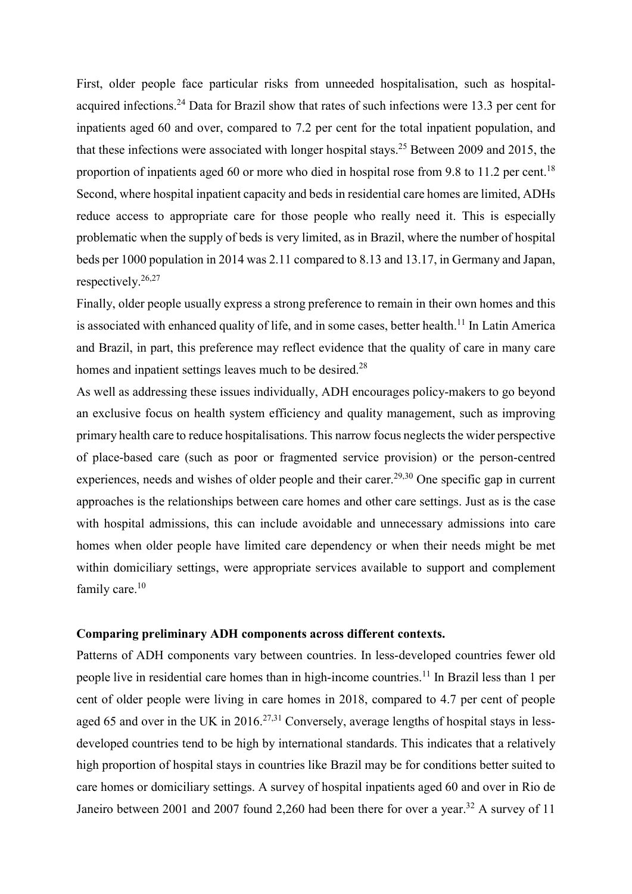First, older people face particular risks from unneeded hospitalisation, such as hospitalacquired infections.<sup>24</sup> Data for Brazil show that rates of such infections were 13.3 per cent for inpatients aged 60 and over, compared to 7.2 per cent for the total inpatient population, and that these infections were associated with longer hospital stays.<sup>25</sup> Between 2009 and 2015, the proportion of inpatients aged 60 or more who died in hospital rose from 9.8 to 11.2 per cent.<sup>18</sup> Second, where hospital inpatient capacity and beds in residential care homes are limited, ADHs reduce access to appropriate care for those people who really need it. This is especially problematic when the supply of beds is very limited, as in Brazil, where the number of hospital beds per 1000 population in 2014 was 2.11 compared to 8.13 and 13.17, in Germany and Japan, respectively.<sup>26,27</sup>

Finally, older people usually express a strong preference to remain in their own homes and this is associated with enhanced quality of life, and in some cases, better health.<sup>11</sup> In Latin America and Brazil, in part, this preference may reflect evidence that the quality of care in many care homes and inpatient settings leaves much to be desired.<sup>28</sup>

As well as addressing these issues individually, ADH encourages policy-makers to go beyond an exclusive focus on health system efficiency and quality management, such as improving primary health care to reduce hospitalisations. This narrow focus neglects the wider perspective of place-based care (such as poor or fragmented service provision) or the person-centred experiences, needs and wishes of older people and their carer.<sup>29,30</sup> One specific gap in current approaches is the relationships between care homes and other care settings. Just as is the case with hospital admissions, this can include avoidable and unnecessary admissions into care homes when older people have limited care dependency or when their needs might be met within domiciliary settings, were appropriate services available to support and complement family care.<sup>10</sup>

## Comparing preliminary ADH components across different contexts.

Patterns of ADH components vary between countries. In less-developed countries fewer old people live in residential care homes than in high-income countries.<sup>11</sup> In Brazil less than 1 per cent of older people were living in care homes in 2018, compared to 4.7 per cent of people aged 65 and over in the UK in 2016.<sup>27,31</sup> Conversely, average lengths of hospital stays in lessdeveloped countries tend to be high by international standards. This indicates that a relatively high proportion of hospital stays in countries like Brazil may be for conditions better suited to care homes or domiciliary settings. A survey of hospital inpatients aged 60 and over in Rio de Janeiro between 2001 and 2007 found 2,260 had been there for over a year.<sup>32</sup> A survey of 11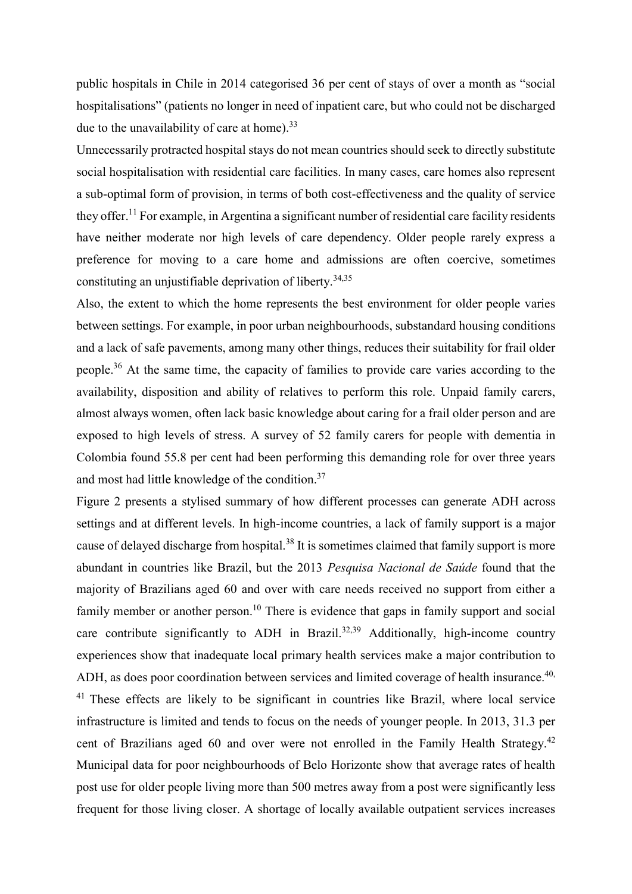public hospitals in Chile in 2014 categorised 36 per cent of stays of over a month as "social hospitalisations" (patients no longer in need of inpatient care, but who could not be discharged due to the unavailability of care at home).<sup>33</sup>

Unnecessarily protracted hospital stays do not mean countries should seek to directly substitute social hospitalisation with residential care facilities. In many cases, care homes also represent a sub-optimal form of provision, in terms of both cost-effectiveness and the quality of service they offer.<sup>11</sup> For example, in Argentina a significant number of residential care facility residents have neither moderate nor high levels of care dependency. Older people rarely express a preference for moving to a care home and admissions are often coercive, sometimes constituting an unjustifiable deprivation of liberty.<sup>34,35</sup>

Also, the extent to which the home represents the best environment for older people varies between settings. For example, in poor urban neighbourhoods, substandard housing conditions and a lack of safe pavements, among many other things, reduces their suitability for frail older people.<sup>36</sup> At the same time, the capacity of families to provide care varies according to the availability, disposition and ability of relatives to perform this role. Unpaid family carers, almost always women, often lack basic knowledge about caring for a frail older person and are exposed to high levels of stress. A survey of 52 family carers for people with dementia in Colombia found 55.8 per cent had been performing this demanding role for over three years and most had little knowledge of the condition.<sup>37</sup>

Figure 2 presents a stylised summary of how different processes can generate ADH across settings and at different levels. In high-income countries, a lack of family support is a major cause of delayed discharge from hospital.<sup>38</sup> It is sometimes claimed that family support is more abundant in countries like Brazil, but the 2013 Pesquisa Nacional de Saúde found that the majority of Brazilians aged 60 and over with care needs received no support from either a family member or another person.<sup>10</sup> There is evidence that gaps in family support and social care contribute significantly to ADH in Brazil.<sup>32,39</sup> Additionally, high-income country experiences show that inadequate local primary health services make a major contribution to ADH, as does poor coordination between services and limited coverage of health insurance.<sup>40,</sup> <sup>41</sup> These effects are likely to be significant in countries like Brazil, where local service infrastructure is limited and tends to focus on the needs of younger people. In 2013, 31.3 per cent of Brazilians aged 60 and over were not enrolled in the Family Health Strategy.<sup>42</sup> Municipal data for poor neighbourhoods of Belo Horizonte show that average rates of health post use for older people living more than 500 metres away from a post were significantly less frequent for those living closer. A shortage of locally available outpatient services increases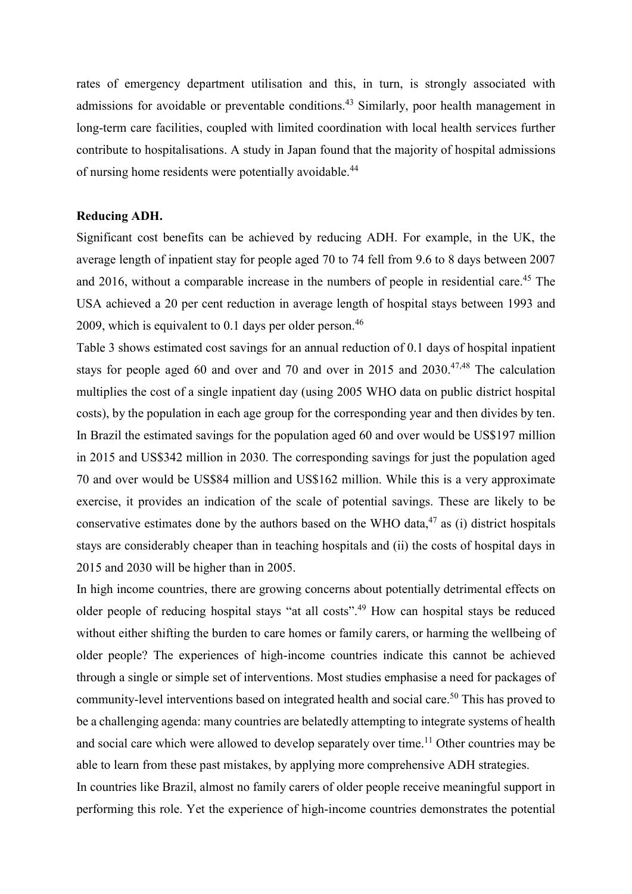rates of emergency department utilisation and this, in turn, is strongly associated with admissions for avoidable or preventable conditions.<sup>43</sup> Similarly, poor health management in long-term care facilities, coupled with limited coordination with local health services further contribute to hospitalisations. A study in Japan found that the majority of hospital admissions of nursing home residents were potentially avoidable.<sup>44</sup>

## Reducing ADH.

Significant cost benefits can be achieved by reducing ADH. For example, in the UK, the average length of inpatient stay for people aged 70 to 74 fell from 9.6 to 8 days between 2007 and 2016, without a comparable increase in the numbers of people in residential care.<sup>45</sup> The USA achieved a 20 per cent reduction in average length of hospital stays between 1993 and 2009, which is equivalent to 0.1 days per older person.<sup>46</sup>

Table 3 shows estimated cost savings for an annual reduction of 0.1 days of hospital inpatient stays for people aged 60 and over and 70 and over in 2015 and  $2030^{47,48}$  The calculation multiplies the cost of a single inpatient day (using 2005 WHO data on public district hospital costs), by the population in each age group for the corresponding year and then divides by ten. In Brazil the estimated savings for the population aged 60 and over would be US\$197 million in 2015 and US\$342 million in 2030. The corresponding savings for just the population aged 70 and over would be US\$84 million and US\$162 million. While this is a very approximate exercise, it provides an indication of the scale of potential savings. These are likely to be conservative estimates done by the authors based on the WHO data,  $47$  as (i) district hospitals stays are considerably cheaper than in teaching hospitals and (ii) the costs of hospital days in 2015 and 2030 will be higher than in 2005.

In high income countries, there are growing concerns about potentially detrimental effects on older people of reducing hospital stays "at all costs".<sup>49</sup> How can hospital stays be reduced without either shifting the burden to care homes or family carers, or harming the wellbeing of older people? The experiences of high-income countries indicate this cannot be achieved through a single or simple set of interventions. Most studies emphasise a need for packages of community-level interventions based on integrated health and social care.<sup>50</sup> This has proved to be a challenging agenda: many countries are belatedly attempting to integrate systems of health and social care which were allowed to develop separately over time.<sup>11</sup> Other countries may be able to learn from these past mistakes, by applying more comprehensive ADH strategies. In countries like Brazil, almost no family carers of older people receive meaningful support in performing this role. Yet the experience of high-income countries demonstrates the potential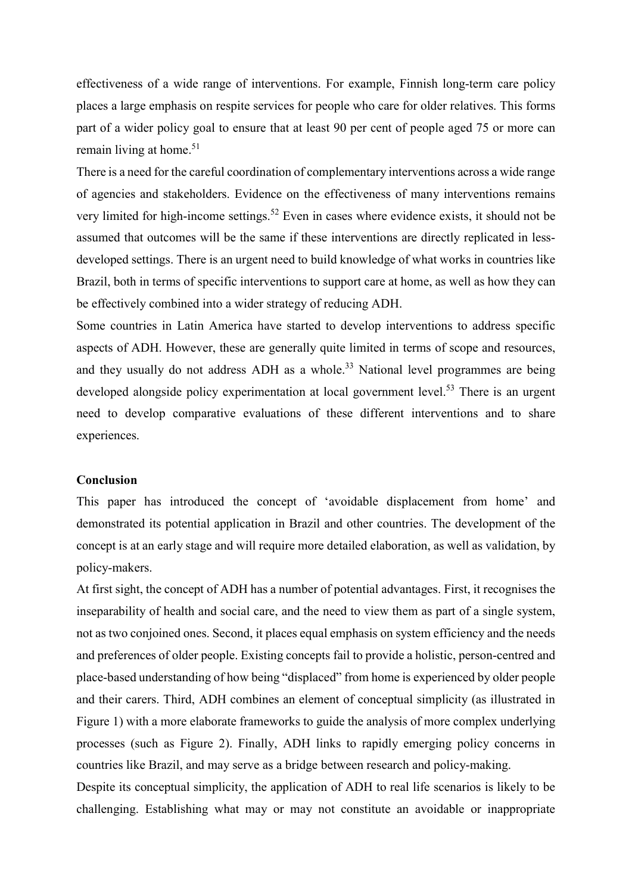effectiveness of a wide range of interventions. For example, Finnish long-term care policy places a large emphasis on respite services for people who care for older relatives. This forms part of a wider policy goal to ensure that at least 90 per cent of people aged 75 or more can remain living at home.<sup>51</sup>

There is a need for the careful coordination of complementary interventions across a wide range of agencies and stakeholders. Evidence on the effectiveness of many interventions remains very limited for high-income settings.<sup>52</sup> Even in cases where evidence exists, it should not be assumed that outcomes will be the same if these interventions are directly replicated in lessdeveloped settings. There is an urgent need to build knowledge of what works in countries like Brazil, both in terms of specific interventions to support care at home, as well as how they can be effectively combined into a wider strategy of reducing ADH.

Some countries in Latin America have started to develop interventions to address specific aspects of ADH. However, these are generally quite limited in terms of scope and resources, and they usually do not address ADH as a whole.<sup>33</sup> National level programmes are being developed alongside policy experimentation at local government level.<sup>53</sup> There is an urgent need to develop comparative evaluations of these different interventions and to share experiences.

#### **Conclusion**

This paper has introduced the concept of 'avoidable displacement from home' and demonstrated its potential application in Brazil and other countries. The development of the concept is at an early stage and will require more detailed elaboration, as well as validation, by policy-makers.

At first sight, the concept of ADH has a number of potential advantages. First, it recognises the inseparability of health and social care, and the need to view them as part of a single system, not as two conjoined ones. Second, it places equal emphasis on system efficiency and the needs and preferences of older people. Existing concepts fail to provide a holistic, person-centred and place-based understanding of how being "displaced" from home is experienced by older people and their carers. Third, ADH combines an element of conceptual simplicity (as illustrated in Figure 1) with a more elaborate frameworks to guide the analysis of more complex underlying processes (such as Figure 2). Finally, ADH links to rapidly emerging policy concerns in countries like Brazil, and may serve as a bridge between research and policy-making.

Despite its conceptual simplicity, the application of ADH to real life scenarios is likely to be challenging. Establishing what may or may not constitute an avoidable or inappropriate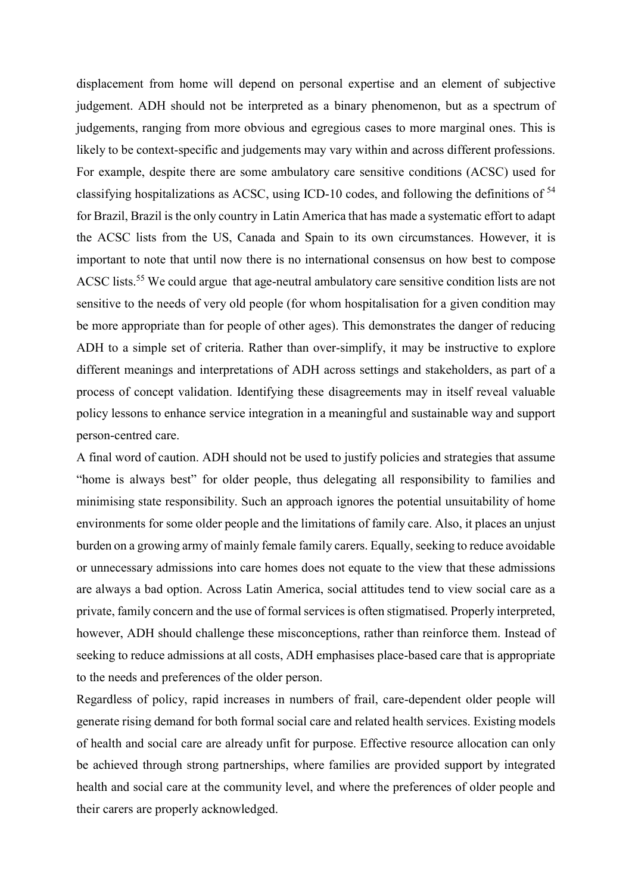displacement from home will depend on personal expertise and an element of subjective judgement. ADH should not be interpreted as a binary phenomenon, but as a spectrum of judgements, ranging from more obvious and egregious cases to more marginal ones. This is likely to be context-specific and judgements may vary within and across different professions. For example, despite there are some ambulatory care sensitive conditions (ACSC) used for classifying hospitalizations as ACSC, using ICD-10 codes, and following the definitions of <sup>54</sup> for Brazil, Brazil is the only country in Latin America that has made a systematic effort to adapt the ACSC lists from the US, Canada and Spain to its own circumstances. However, it is important to note that until now there is no international consensus on how best to compose ACSC lists.<sup>55</sup> We could argue that age-neutral ambulatory care sensitive condition lists are not sensitive to the needs of very old people (for whom hospitalisation for a given condition may be more appropriate than for people of other ages). This demonstrates the danger of reducing ADH to a simple set of criteria. Rather than over-simplify, it may be instructive to explore different meanings and interpretations of ADH across settings and stakeholders, as part of a process of concept validation. Identifying these disagreements may in itself reveal valuable policy lessons to enhance service integration in a meaningful and sustainable way and support person-centred care.

A final word of caution. ADH should not be used to justify policies and strategies that assume "home is always best" for older people, thus delegating all responsibility to families and minimising state responsibility. Such an approach ignores the potential unsuitability of home environments for some older people and the limitations of family care. Also, it places an unjust burden on a growing army of mainly female family carers. Equally, seeking to reduce avoidable or unnecessary admissions into care homes does not equate to the view that these admissions are always a bad option. Across Latin America, social attitudes tend to view social care as a private, family concern and the use of formal services is often stigmatised. Properly interpreted, however, ADH should challenge these misconceptions, rather than reinforce them. Instead of seeking to reduce admissions at all costs, ADH emphasises place-based care that is appropriate to the needs and preferences of the older person.

Regardless of policy, rapid increases in numbers of frail, care-dependent older people will generate rising demand for both formal social care and related health services. Existing models of health and social care are already unfit for purpose. Effective resource allocation can only be achieved through strong partnerships, where families are provided support by integrated health and social care at the community level, and where the preferences of older people and their carers are properly acknowledged.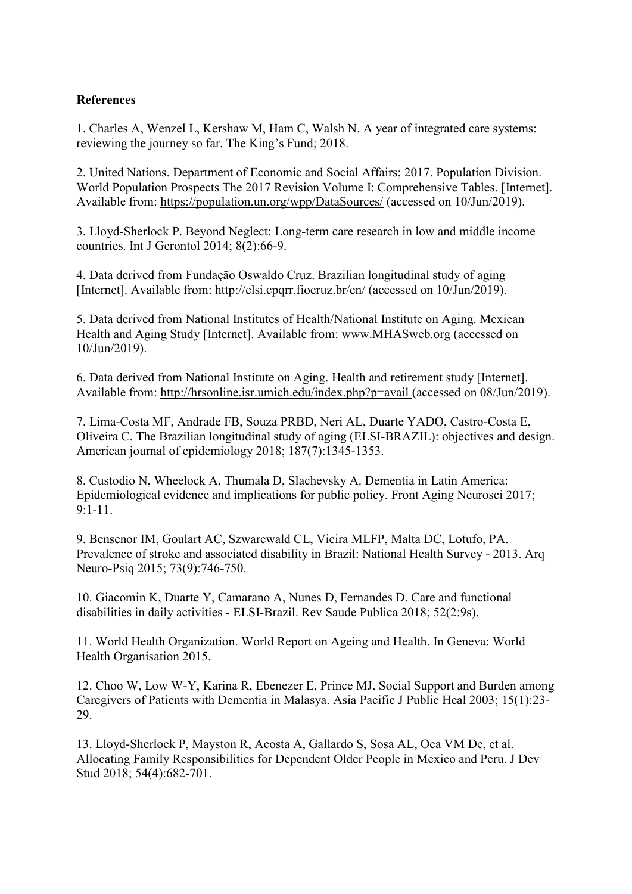# References

1. Charles A, Wenzel L, Kershaw M, Ham C, Walsh N. A year of integrated care systems: reviewing the journey so far. The King's Fund; 2018.

2. United Nations. Department of Economic and Social Affairs; 2017. Population Division. World Population Prospects The 2017 Revision Volume I: Comprehensive Tables. [Internet]. Available from: https://population.un.org/wpp/DataSources/ (accessed on 10/Jun/2019).

3. Lloyd-Sherlock P. Beyond Neglect: Long-term care research in low and middle income countries. Int J Gerontol 2014; 8(2):66-9.

4. Data derived from Fundação Oswaldo Cruz. Brazilian longitudinal study of aging [Internet]. Available from: http://elsi.cpqrr.fiocruz.br/en/ (accessed on 10/Jun/2019).

5. Data derived from National Institutes of Health/National Institute on Aging. Mexican Health and Aging Study [Internet]. Available from: www.MHASweb.org (accessed on 10/Jun/2019).

6. Data derived from National Institute on Aging. Health and retirement study [Internet]. Available from: http://hrsonline.isr.umich.edu/index.php?p=avail (accessed on 08/Jun/2019).

7. Lima-Costa MF, Andrade FB, Souza PRBD, Neri AL, Duarte YADO, Castro-Costa E, Oliveira C. The Brazilian longitudinal study of aging (ELSI-BRAZIL): objectives and design. American journal of epidemiology 2018; 187(7):1345-1353.

8. Custodio N, Wheelock A, Thumala D, Slachevsky A. Dementia in Latin America: Epidemiological evidence and implications for public policy. Front Aging Neurosci 2017; 9:1-11.

9. Bensenor IM, Goulart AC, Szwarcwald CL, Vieira MLFP, Malta DC, Lotufo, PA. Prevalence of stroke and associated disability in Brazil: National Health Survey - 2013. Arq Neuro-Psiq 2015; 73(9):746-750.

10. Giacomin K, Duarte Y, Camarano A, Nunes D, Fernandes D. Care and functional disabilities in daily activities - ELSI-Brazil. Rev Saude Publica 2018; 52(2:9s).

11. World Health Organization. World Report on Ageing and Health. In Geneva: World Health Organisation 2015.

12. Choo W, Low W-Y, Karina R, Ebenezer E, Prince MJ. Social Support and Burden among Caregivers of Patients with Dementia in Malasya. Asia Pacific J Public Heal 2003; 15(1):23- 29.

13. Lloyd-Sherlock P, Mayston R, Acosta A, Gallardo S, Sosa AL, Oca VM De, et al. Allocating Family Responsibilities for Dependent Older People in Mexico and Peru. J Dev Stud 2018; 54(4):682-701.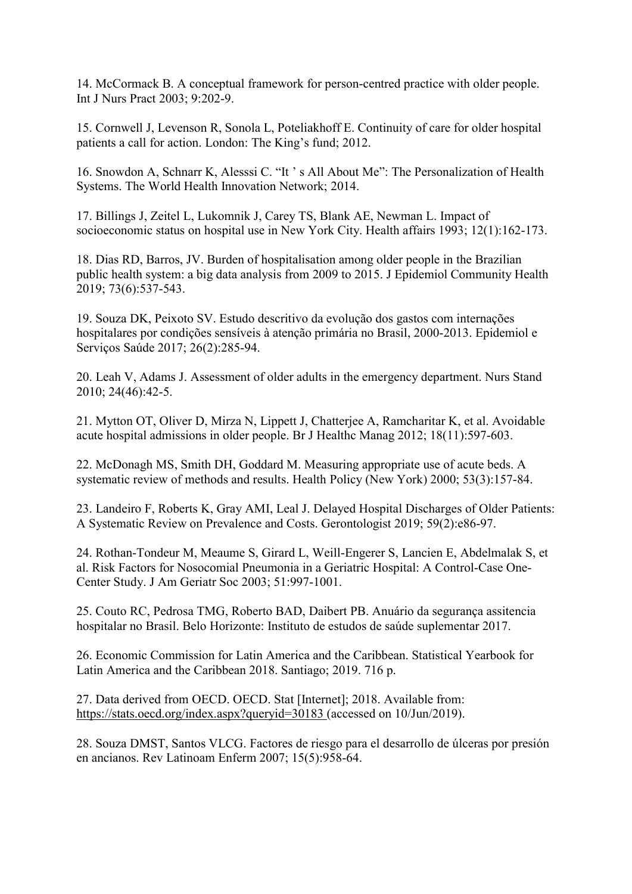14. McCormack B. A conceptual framework for person-centred practice with older people. Int J Nurs Pract 2003; 9:202-9.

15. Cornwell J, Levenson R, Sonola L, Poteliakhoff E. Continuity of care for older hospital patients a call for action. London: The King's fund; 2012.

16. Snowdon A, Schnarr K, Alesssi C. "It ' s All About Me": The Personalization of Health Systems. The World Health Innovation Network; 2014.

17. Billings J, Zeitel L, Lukomnik J, Carey TS, Blank AE, Newman L. Impact of socioeconomic status on hospital use in New York City. Health affairs 1993; 12(1):162-173.

18. Dias RD, Barros, JV. Burden of hospitalisation among older people in the Brazilian public health system: a big data analysis from 2009 to 2015. J Epidemiol Community Health 2019; 73(6):537-543.

19. Souza DK, Peixoto SV. Estudo descritivo da evolução dos gastos com internações hospitalares por condições sensíveis à atenção primária no Brasil, 2000-2013. Epidemiol e Serviços Saúde 2017; 26(2):285-94.

20. Leah V, Adams J. Assessment of older adults in the emergency department. Nurs Stand 2010; 24(46):42-5.

21. Mytton OT, Oliver D, Mirza N, Lippett J, Chatterjee A, Ramcharitar K, et al. Avoidable acute hospital admissions in older people. Br J Healthc Manag 2012; 18(11):597-603.

22. McDonagh MS, Smith DH, Goddard M. Measuring appropriate use of acute beds. A systematic review of methods and results. Health Policy (New York) 2000; 53(3):157-84.

23. Landeiro F, Roberts K, Gray AMI, Leal J. Delayed Hospital Discharges of Older Patients: A Systematic Review on Prevalence and Costs. Gerontologist 2019; 59(2):e86-97.

24. Rothan-Tondeur M, Meaume S, Girard L, Weill-Engerer S, Lancien E, Abdelmalak S, et al. Risk Factors for Nosocomial Pneumonia in a Geriatric Hospital: A Control-Case One-Center Study. J Am Geriatr Soc 2003; 51:997-1001.

25. Couto RC, Pedrosa TMG, Roberto BAD, Daibert PB. Anuário da segurança assitencia hospitalar no Brasil. Belo Horizonte: Instituto de estudos de saúde suplementar 2017.

26. Economic Commission for Latin America and the Caribbean. Statistical Yearbook for Latin America and the Caribbean 2018. Santiago; 2019. 716 p.

27. Data derived from OECD. OECD. Stat [Internet]; 2018. Available from: https://stats.oecd.org/index.aspx?queryid=30183 (accessed on 10/Jun/2019).

28. Souza DMST, Santos VLCG. Factores de riesgo para el desarrollo de úlceras por presión en ancianos. Rev Latinoam Enferm 2007; 15(5):958-64.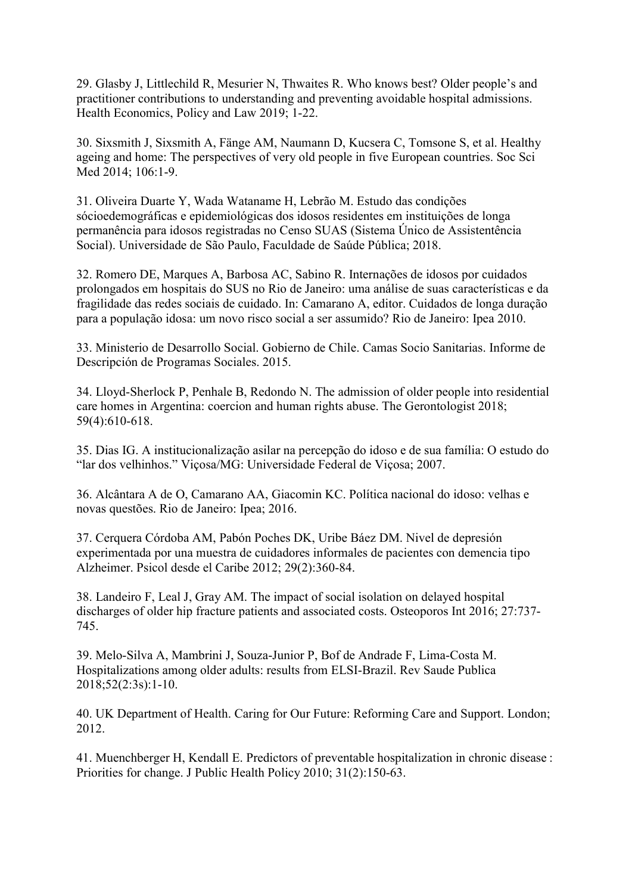29. Glasby J, Littlechild R, Mesurier N, Thwaites R. Who knows best? Older people's and practitioner contributions to understanding and preventing avoidable hospital admissions. Health Economics, Policy and Law 2019; 1-22.

30. Sixsmith J, Sixsmith A, Fänge AM, Naumann D, Kucsera C, Tomsone S, et al. Healthy ageing and home: The perspectives of very old people in five European countries. Soc Sci Med 2014; 106:1-9.

31. Oliveira Duarte Y, Wada Wataname H, Lebrão M. Estudo das condições sócioedemográficas e epidemiológicas dos idosos residentes em instituições de longa permanência para idosos registradas no Censo SUAS (Sistema Único de Assistentência Social). Universidade de São Paulo, Faculdade de Saúde Pública; 2018.

32. Romero DE, Marques A, Barbosa AC, Sabino R. Internações de idosos por cuidados prolongados em hospitais do SUS no Rio de Janeiro: uma análise de suas características e da fragilidade das redes sociais de cuidado. In: Camarano A, editor. Cuidados de longa duração para a população idosa: um novo risco social a ser assumido? Rio de Janeiro: Ipea 2010.

33. Ministerio de Desarrollo Social. Gobierno de Chile. Camas Socio Sanitarias. Informe de Descripción de Programas Sociales. 2015.

34. Lloyd-Sherlock P, Penhale B, Redondo N. The admission of older people into residential care homes in Argentina: coercion and human rights abuse. The Gerontologist 2018; 59(4):610-618.

35. Dias IG. A institucionalização asilar na percepção do idoso e de sua família: O estudo do "lar dos velhinhos." Viçosa/MG: Universidade Federal de Viçosa; 2007.

36. Alcântara A de O, Camarano AA, Giacomin KC. Política nacional do idoso: velhas e novas questões. Rio de Janeiro: Ipea; 2016.

37. Cerquera Córdoba AM, Pabón Poches DK, Uribe Báez DM. Nivel de depresión experimentada por una muestra de cuidadores informales de pacientes con demencia tipo Alzheimer. Psicol desde el Caribe 2012; 29(2):360-84.

38. Landeiro F, Leal J, Gray AM. The impact of social isolation on delayed hospital discharges of older hip fracture patients and associated costs. Osteoporos Int 2016; 27:737- 745.

39. Melo-Silva A, Mambrini J, Souza-Junior P, Bof de Andrade F, Lima-Costa M. Hospitalizations among older adults: results from ELSI-Brazil. Rev Saude Publica 2018;52(2:3s):1-10.

40. UK Department of Health. Caring for Our Future: Reforming Care and Support. London; 2012.

41. Muenchberger H, Kendall E. Predictors of preventable hospitalization in chronic disease : Priorities for change. J Public Health Policy 2010; 31(2):150-63.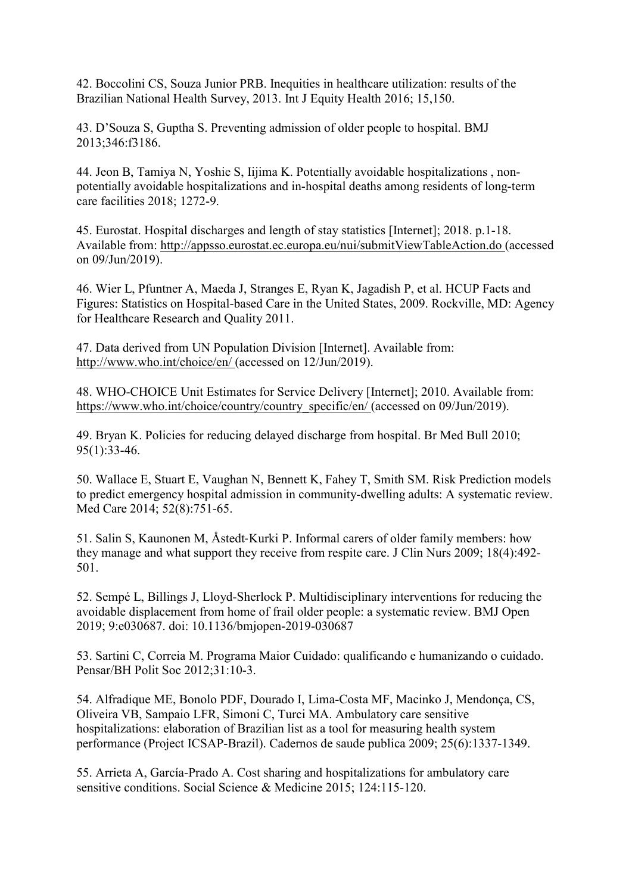42. Boccolini CS, Souza Junior PRB. Inequities in healthcare utilization: results of the Brazilian National Health Survey, 2013. Int J Equity Health 2016; 15,150.

43. D'Souza S, Guptha S. Preventing admission of older people to hospital. BMJ 2013;346:f3186.

44. Jeon B, Tamiya N, Yoshie S, Iijima K. Potentially avoidable hospitalizations , nonpotentially avoidable hospitalizations and in-hospital deaths among residents of long-term care facilities 2018; 1272-9.

45. Eurostat. Hospital discharges and length of stay statistics [Internet]; 2018. p.1-18. Available from: http://appsso.eurostat.ec.europa.eu/nui/submitViewTableAction.do (accessed on 09/Jun/2019).

46. Wier L, Pfuntner A, Maeda J, Stranges E, Ryan K, Jagadish P, et al. HCUP Facts and Figures: Statistics on Hospital-based Care in the United States, 2009. Rockville, MD: Agency for Healthcare Research and Quality 2011.

47. Data derived from UN Population Division [Internet]. Available from: http://www.who.int/choice/en/ (accessed on 12/Jun/2019).

48. WHO-CHOICE Unit Estimates for Service Delivery [Internet]; 2010. Available from: https://www.who.int/choice/country/country\_specific/en/ (accessed on 09/Jun/2019).

49. Bryan K. Policies for reducing delayed discharge from hospital. Br Med Bull 2010; 95(1):33-46.

50. Wallace E, Stuart E, Vaughan N, Bennett K, Fahey T, Smith SM. Risk Prediction models to predict emergency hospital admission in community-dwelling adults: A systematic review. Med Care 2014; 52(8):751-65.

51. Salin S, Kaunonen M, Åstedt‐Kurki P. Informal carers of older family members: how they manage and what support they receive from respite care. J Clin Nurs 2009; 18(4):492- 501.

52. Sempé L, Billings J, Lloyd-Sherlock P. Multidisciplinary interventions for reducing the avoidable displacement from home of frail older people: a systematic review. BMJ Open 2019; 9:e030687. doi: 10.1136/bmjopen-2019-030687

53. Sartini C, Correia M. Programa Maior Cuidado: qualificando e humanizando o cuidado. Pensar/BH Polit Soc 2012;31:10-3.

54. Alfradique ME, Bonolo PDF, Dourado I, Lima-Costa MF, Macinko J, Mendonça, CS, Oliveira VB, Sampaio LFR, Simoni C, Turci MA. Ambulatory care sensitive hospitalizations: elaboration of Brazilian list as a tool for measuring health system performance (Project ICSAP-Brazil). Cadernos de saude publica 2009; 25(6):1337-1349.

55. Arrieta A, García-Prado A. Cost sharing and hospitalizations for ambulatory care sensitive conditions. Social Science & Medicine 2015; 124:115-120.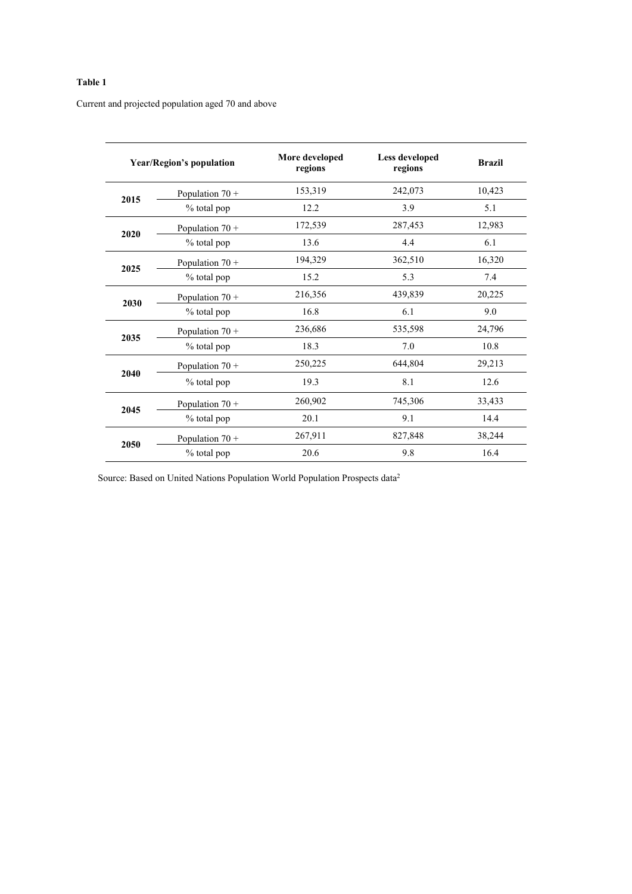#### Table 1

Current and projected population aged 70 and above

| <b>Year/Region's population</b> |                   | More developed<br>regions | Less developed<br>regions | <b>Brazil</b> |
|---------------------------------|-------------------|---------------------------|---------------------------|---------------|
| 2015                            | Population $70 +$ | 153,319                   | 242,073                   | 10,423        |
|                                 | % total pop       | 12.2                      | 3.9                       | 5.1           |
| 2020                            | Population $70 +$ | 172,539                   | 287,453                   | 12,983        |
|                                 | % total pop       | 13.6                      | 4.4                       | 6.1           |
| 2025                            | Population $70 +$ | 194,329                   | 362,510                   | 16,320        |
|                                 | % total pop       | 15.2                      | 5.3                       | 7.4           |
|                                 | Population $70 +$ | 216,356                   | 439,839                   | 20,225        |
| 2030                            | % total pop       | 16.8                      | 6.1                       | 9.0           |
|                                 | Population $70 +$ | 236,686                   | 535,598                   | 24,796        |
| 2035                            | % total pop       | 18.3                      | 7.0                       | 10.8          |
| 2040                            | Population $70 +$ | 250,225                   | 644,804                   | 29,213        |
|                                 | % total pop       | 19.3                      | 8.1                       | 12.6          |
| 2045                            | Population $70 +$ | 260,902                   | 745,306                   | 33,433        |
|                                 | % total pop       | 20.1                      | 9.1                       | 14.4          |
| 2050                            | Population $70 +$ | 267,911                   | 827,848                   | 38,244        |
|                                 | % total pop       | 20.6                      | 9.8                       | 16.4          |

Source: Based on United Nations Population World Population Prospects data<sup>2</sup>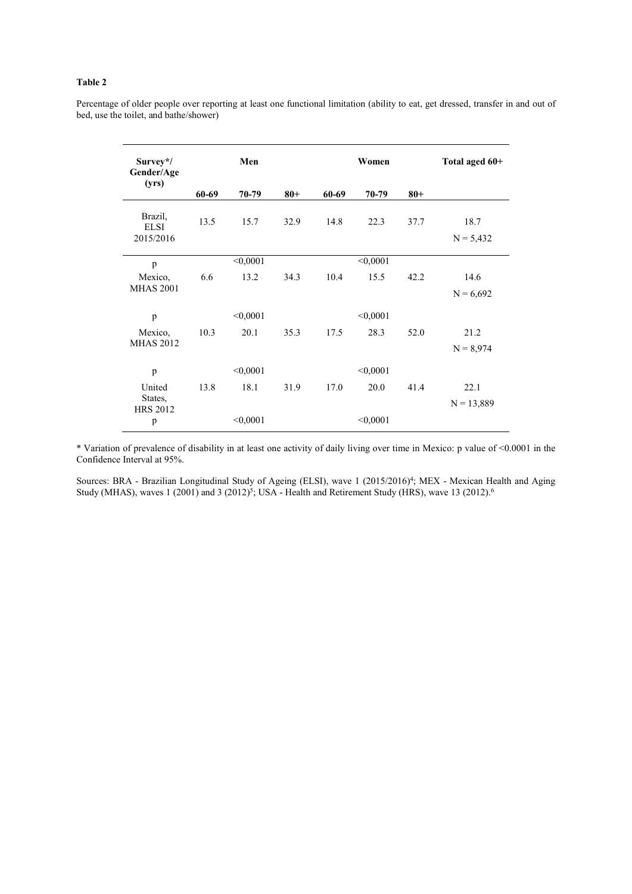#### Table 2

 $\overline{a}$ 

Percentage of older people over reporting at least one functional limitation (ability to eat, get dressed, transfer in and out of bed, use the toilet, and bathe/shower)

| Survey*/<br>Gender/Age<br>(yrs)     | Men      |          |        | Women    |          |        | Total aged 60+      |
|-------------------------------------|----------|----------|--------|----------|----------|--------|---------------------|
|                                     | 60-69    | 70-79    | $80 +$ | 60-69    | 70-79    | $80 +$ |                     |
| Brazil,<br><b>ELSI</b><br>2015/2016 | 13.5     | 15.7     | 32.9   | 14.8     | 22.3     | 37.7   | 18.7<br>$N = 5,432$ |
| p                                   |          | < 0,0001 |        |          | < 0,0001 |        |                     |
| Mexico,                             | 6.6      | 13.2     | 34.3   | 10.4     | 15.5     | 42.2   | 14.6                |
| <b>MHAS 2001</b>                    |          |          |        |          |          |        | $N = 6,692$         |
| p                                   |          | < 0,0001 |        |          | < 0,0001 |        |                     |
| Mexico,                             | 10.3     | 20.1     | 35.3   | 17.5     | 28.3     | 52.0   | 21.2                |
| <b>MHAS 2012</b>                    |          |          |        |          |          |        | $N = 8,974$         |
| p                                   |          | < 0,0001 |        |          | < 0,0001 |        |                     |
| United                              | 13.8     | 18.1     | 31.9   | 17.0     | 20.0     | 41.4   | 22.1                |
| States,<br><b>HRS 2012</b>          |          |          |        |          |          |        | $N = 13,889$        |
| p                                   | < 0,0001 |          |        | < 0,0001 |          |        |                     |

\* Variation of prevalence of disability in at least one activity of daily living over time in Mexico: p value of <0.0001 in the Confidence Interval at 95%.

Sources: BRA - Brazilian Longitudinal Study of Ageing (ELSI), wave 1 (2015/2016)<sup>4</sup>; MEX - Mexican Health and Aging Study (MHAS), waves  $1$  (2001) and  $3$  (2012)<sup>5</sup>; USA - Health and Retirement Study (HRS), wave 13 (2012).<sup>6</sup>